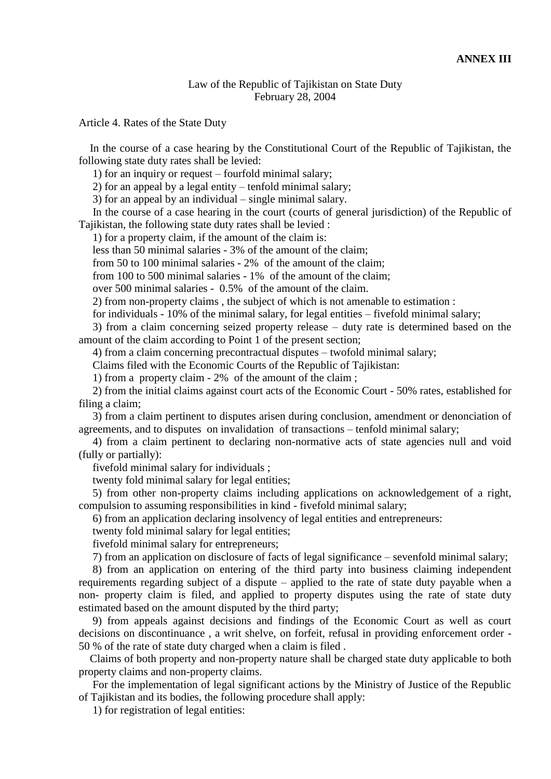## Law of the Republic of Tajikistan on State Duty February 28, 2004

Article 4. Rates of the State Duty

 In the course of a case hearing by the Constitutional Court of the Republic of Tajikistan, the following state duty rates shall be levied:

1) for an inquiry or request – fourfold minimal salary;

2) for an appeal by a legal entity – tenfold minimal salary;

3) for an appeal by an individual – single minimal salary.

 In the course of a case hearing in the court (courts of general jurisdiction) of the Republic of Tajikistan, the following state duty rates shall be levied :

1) for a property claim, if the amount of the claim is:

less than 50 minimal salaries - 3% of the amount of the claim;

from 50 to 100 minimal salaries - 2% of the amount of the claim;

from 100 to 500 minimal salaries - 1% of the amount of the claim;

over 500 minimal salaries - 0.5% of the amount of the claim.

2) from non-property claims , the subject of which is not amenable to estimation :

for individuals - 10% of the minimal salary, for legal entities – fivefold minimal salary;

 3) from a claim concerning seized property release – duty rate is determined based on the amount of the claim according to Point 1 of the present section;

4) from a claim concerning precontractual disputes – twofold minimal salary;

Claims filed with the Economic Courts of the Republic of Tajikistan:

1) from a property claim - 2% of the amount of the claim ;

 2) from the initial claims against court acts of the Economic Court - 50% rates, established for filing a claim;

 3) from a claim pertinent to disputes arisen during conclusion, amendment or denonciation of agreements, and to disputes on invalidation of transactions – tenfold minimal salary;

 4) from a claim pertinent to declaring non-normative acts of state agencies null and void (fully or partially):

fivefold minimal salary for individuals ;

twenty fold minimal salary for legal entities;

 5) from other non-property claims including applications on acknowledgement of a right, compulsion to assuming responsibilities in kind - fivefold minimal salary;

6) from an application declaring insolvency of legal entities and entrepreneurs:

twenty fold minimal salary for legal entities;

fivefold minimal salary for entrepreneurs;

7) from an application on disclosure of facts of legal significance – sevenfold minimal salary;

 8) from an application on entering of the third party into business claiming independent requirements regarding subject of a dispute – applied to the rate of state duty payable when a non- property claim is filed, and applied to property disputes using the rate of state duty estimated based on the amount disputed by the third party;

 9) from appeals against decisions and findings of the Economic Court as well as court decisions on discontinuance , a writ shelve, оn forfeit, refusal in providing enforcement order - 50 % of the rate of state duty charged when a claim is filed .

 Claims of both property and non-property nature shall be charged state duty applicable to both property claims and non-property claims.

 For the implementation of legal significant actions by the Ministry of Justice of the Republic of Tajikistan and its bodies, the following procedure shall apply:

1) for registration of legal entities: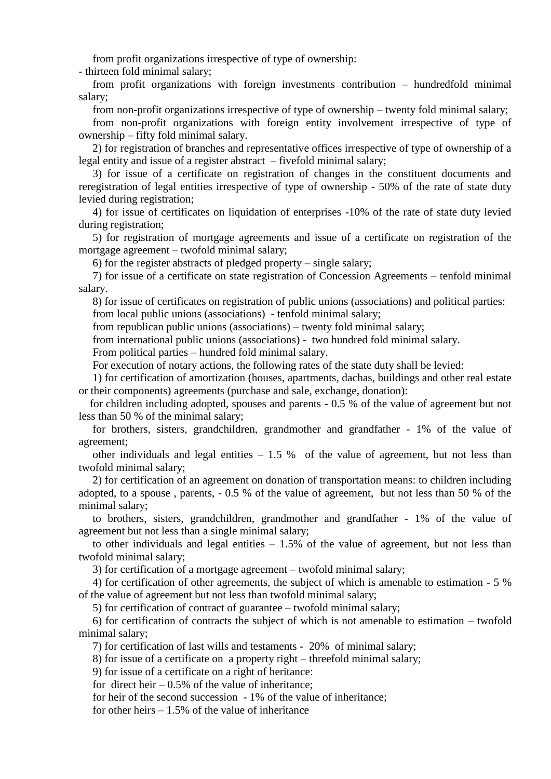from profit organizations irrespective of type of ownership:

- thirteen fold minimal salary;

 from profit organizations with foreign investments contribution – hundredfold minimal salary;

from non-profit organizations irrespective of type of ownership – twenty fold minimal salary;

 from non-profit organizations with foreign entity involvement irrespective of type of ownership – fifty fold minimal salary.

 2) for registration of branches and representative offices irrespective of type of ownership of a legal entity and issue of a register abstract – fivefold minimal salary;

 3) for issue of a certificate on registration of changes in the constituent documents and reregistration of legal entities irrespective of type of ownership - 50% of the rate of state duty levied during registration;

 4) for issue of certificates on liquidation of enterprises -10% of the rate of state duty levied during registration;

 5) for registration of mortgage agreements and issue of a certificate on registration of the mortgage agreement – twofold minimal salary;

6) for the register abstracts of pledged property – single salary;

 7) for issue of a certificate on state registration of Concession Agreements – tenfold minimal salary.

 8) for issue of certificates on registration of public unions (associations) and political parties: from local public unions (associations) - tenfold minimal salary;

from republican public unions (associations) – twenty fold minimal salary;

from international public unions (associations) - two hundred fold minimal salary.

From political parties – hundred fold minimal salary.

For execution of notary actions, the following rates of the state duty shall be levied:

 1) for certification of amortization (houses, apartments, dachas, buildings and other real estate or their components) agreements (purchase and sale, exchange, donation):

 for children including adopted, spouses and parents - 0.5 % of the value of agreement but not less than 50 % of the minimal salary;

 for brothers, sisters, grandchildren, grandmother and grandfather - 1% of the value of agreement;

other individuals and legal entities  $-1.5\%$  of the value of agreement, but not less than twofold minimal salary;

 2) for certification of an agreement on donation of transportation means: to children including adopted, to a spouse , parents, - 0.5 % of the value of agreement, but not less than 50 % of the minimal salary;

 to brothers, sisters, grandchildren, grandmother and grandfather - 1% of the value of agreement but not less than a single minimal salary;

to other individuals and legal entities  $-1.5\%$  of the value of agreement, but not less than twofold minimal salary;

3) for certification of a mortgage agreement – twofold minimal salary;

 4) for certification of other agreements, the subject of which is amenable to estimation - 5 % of the value of agreement but not less than twofold minimal salary;

5) for certification of contract of guarantee – twofold minimal salary;

 6) for certification of contracts the subject of which is not amenable to estimation – twofold minimal salary;

7) for certification of last wills and testaments - 20% of minimal salary;

8) for issue of a certificate on a property right – threefold minimal salary;

9) for issue of a certificate on a right of heritance:

for direct heir  $-0.5\%$  of the value of inheritance:

for heir of the second succession - 1% of the value of inheritance;

for other heirs  $-1.5\%$  of the value of inheritance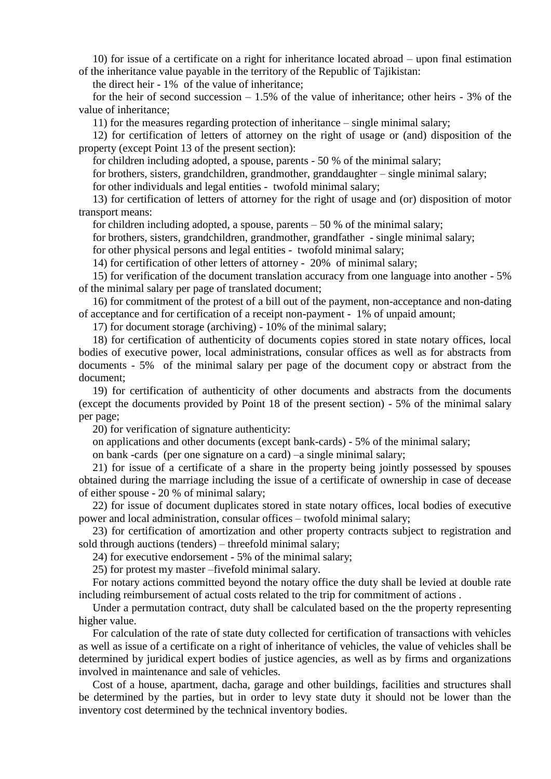10) for issue of a certificate on a right for inheritance located abroad – upon final estimation of the inheritance value payable in the territory of the Republic of Tajikistan:

the direct heir - 1% of the value of inheritance;

for the heir of second succession  $-1.5%$  of the value of inheritance; other heirs - 3% of the value of inheritance;

11) for the measures regarding protection of inheritance – single minimal salary;

 12) for certification of letters of attorney on the right of usage or (and) disposition of the property (except Point 13 of the present section):

for children including adopted, a spouse, parents - 50 % of the minimal salary;

 for brothers, sisters, grandchildren, grandmother, granddaughter – single minimal salary; for other individuals and legal entities - twofold minimal salary;

 13) for certification of letters of attorney for the right of usage and (or) disposition of motor transport means:

for children including adopted, a spouse, parents  $-50\%$  of the minimal salary;

for brothers, sisters, grandchildren, grandmother, grandfather - single minimal salary;

for other physical persons and legal entities - twofold minimal salary;

14) for certification of other letters of attorney - 20% of minimal salary;

 15) for verification of the document translation accuracy from one language into another - 5% of the minimal salary per page of translated document;

 16) for commitment of the protest of a bill out of the payment, non-acceptance and non-dating of acceptance and for certification of a receipt non-payment - 1% of unpaid amount;

17) for document storage (archiving) - 10% of the minimal salary;

 18) for certification of authenticity of documents copies stored in state notary offices, local bodies of executive power, local administrations, consular offices as well as for abstracts from documents - 5% of the minimal salary per page of the document copy or abstract from the document;

 19) for certification of authenticity of other documents and abstracts from the documents (except the documents provided by Point 18 of the present section) - 5% of the minimal salary per page;

20) for verification of signature authenticity:

on applications and other documents (except bank-cards) - 5% of the minimal salary;

on bank -cards (per one signature on a card) –a single minimal salary;

 21) for issue of a certificate of a share in the property being jointly possessed by spouses obtained during the marriage including the issue of a certificate of ownership in case of decease of either spouse - 20 % of minimal salary;

 22) for issue of document duplicates stored in state notary offices, local bodies of executive power and local administration, consular offices – twofold minimal salary;

 23) for certification of amortization and other property contracts subject to registration and sold through auctions (tenders) – threefold minimal salary;

24) for executive endorsement - 5% of the minimal salary;

25) for protest my master –fivefold minimal salary.

 For notary actions committed beyond the notary office the duty shall be levied at double rate including reimbursement of actual costs related to the trip for commitment of actions .

 Under a permutation contract, duty shall be calculated based on the the property representing higher value.

 For calculation of the rate of state duty collected for certification of transactions with vehicles as well as issue of a certificate on a right of inheritance of vehicles, the value of vehicles shall be determined by juridical expert bodies of justice agencies, as well as by firms and organizations involved in maintenance and sale of vehicles.

 Cost of a house, apartment, dacha, garage and other buildings, facilities and structures shall be determined by the parties, but in order to levy state duty it should not be lower than the inventory cost determined by the technical inventory bodies.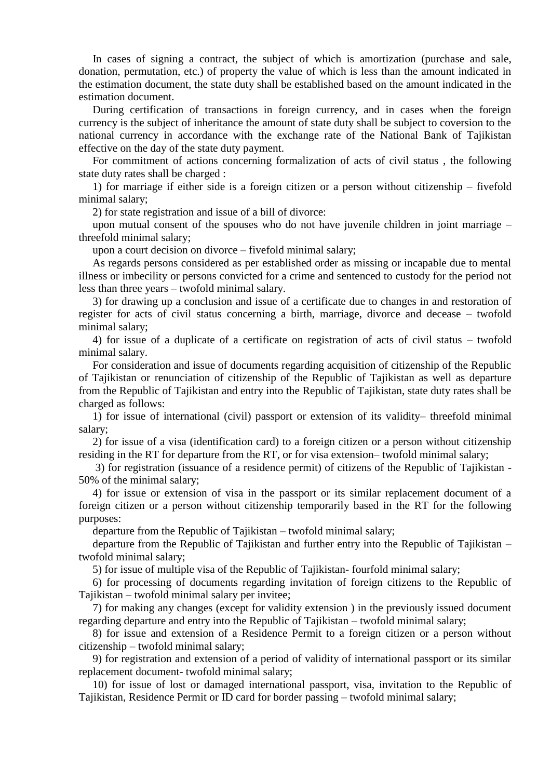In cases of signing a contract, the subject of which is amortization (purchase and sale, donation, permutation, etc.) of property the value of which is less than the amount indicated in the estimation document, the state duty shall be established based on the amount indicated in the estimation document.

 During certification of transactions in foreign currency, and in cases when the foreign currency is the subject of inheritance the amount of state duty shall be subject to coversion to the national currency in accordance with the exchange rate of the National Bank of Tajikistan effective on the day of the state duty payment.

 For commitment of actions concerning formalization of acts of civil status , the following state duty rates shall be charged :

 1) for marriage if either side is a foreign citizen or a person without citizenship – fivefold minimal salary;

2) for state registration and issue of a bill of divorce:

 upon mutual consent of the spouses who do not have juvenile children in joint marriage – threefold minimal salary;

upon a court decision on divorce – fivefold minimal salary;

 As regards persons considered as per established order as missing or incapable due to mental illness or imbecility or persons convicted for a crime and sentenced to custody for the period not less than three years – twofold minimal salary.

 3) for drawing up a conclusion and issue of a certificate due to changes in and restoration of register for acts of civil status concerning a birth, marriage, divorce and decease – twofold minimal salary;

 4) for issue of a duplicate of a certificate on registration of acts of civil status – twofold minimal salary.

 For consideration and issue of documents regarding acquisition of citizenship of the Republic of Tajikistan or renunciation of citizenship of the Republic of Tajikistan as well as departure from the Republic of Tajikistan and entry into the Republic of Tajikistan, state duty rates shall be charged as follows:

 1) for issue of international (civil) passport or extension of its validity– threefold minimal salary;

 2) for issue of a visa (identification card) to a foreign citizen or a person without citizenship residing in the RT for departure from the RT, or for visa extension– twofold minimal salary;

 3) for registration (issuance of a residence permit) of citizens of the Republic of Tajikistan - 50% of the minimal salary;

 4) for issue or extension of visa in the passport or its similar replacement document of a foreign citizen or a person without citizenship temporarily based in the RT for the following purposes:

departure from the Republic of Tajikistan – twofold minimal salary;

 departure from the Republic of Tajikistan and further entry into the Republic of Tajikistan – twofold minimal salary;

5) for issue of multiple visa of the Republic of Tajikistan- fourfold minimal salary;

 6) for processing of documents regarding invitation of foreign citizens to the Republic of Tajikistan – twofold minimal salary per invitee;

 7) for making any changes (except for validity extension ) in the previously issued document regarding departure and entry into the Republic of Tajikistan – twofold minimal salary;

 8) for issue and extension of a Residence Permit to a foreign citizen or a person without citizenship – twofold minimal salary;

 9) for registration and extension of a period of validity of international passport or its similar replacement document- twofold minimal salary;

 10) for issue of lost or damaged international passport, visa, invitation to the Republic of Tajikistan, Residence Permit or ID card for border passing – twofold minimal salary;